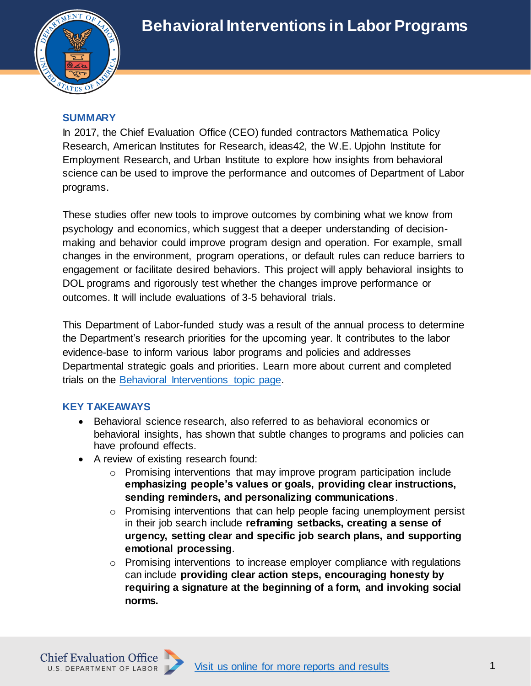

## **SUMMARY**

In 2017, the Chief Evaluation Office (CEO) funded contractors Mathematica Policy Research, American Institutes for Research, ideas42, the W.E. Upjohn Institute for Employment Research, and Urban Institute to explore how insights from behavioral science can be used to improve the performance and outcomes of Department of Labor programs.

These studies offer new tools to improve outcomes by combining what we know from psychology and economics, which suggest that a deeper understanding of decisionmaking and behavior could improve program design and operation. For example, small changes in the environment, program operations, or default rules can reduce barriers to engagement or facilitate desired behaviors. This project will apply behavioral insights to DOL programs and rigorously test whether the changes improve performance or outcomes. It will include evaluations of 3-5 behavioral trials.

This Department of Labor-funded study was a result of the annual process to determine the Department's research priorities for the upcoming year. It contributes to the labor evidence-base to inform various labor programs and policies and addresses Departmental strategic goals and priorities. Learn more about current and completed trials on the [Behavioral Interventions topic page.](https://www.dol.gov/agencies/oasp/evaluation/topic-areas/behavioral-interventions)

## **KEY TAKEAWAYS**

- Behavioral science research, also referred to as behavioral economics or behavioral insights, has shown that subtle changes to programs and policies can have profound effects.
- A review of existing research found:
	- o Promising interventions that may improve program participation include **emphasizing people's values or goals, providing clear instructions, sending reminders, and personalizing communications**.
	- $\circ$  Promising interventions that can help people facing unemployment persist in their job search include **reframing setbacks, creating a sense of urgency, setting clear and specific job search plans, and supporting emotional processing**.
	- o Promising interventions to increase employer compliance with regulations can include **providing clear action steps, encouraging honesty by requiring a signature at the beginning of a form, and invoking social norms.**